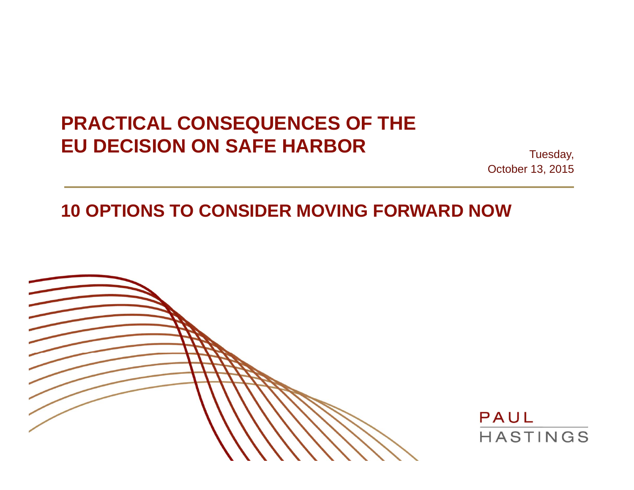## **PRACTICAL CONSEQUENCES OF THE EU DECISION ON SAFE HARBOR**

Tuesday, October 13, 2015

### **10 OPTIONS TO CONSIDER MOVING FORWARD NOW**



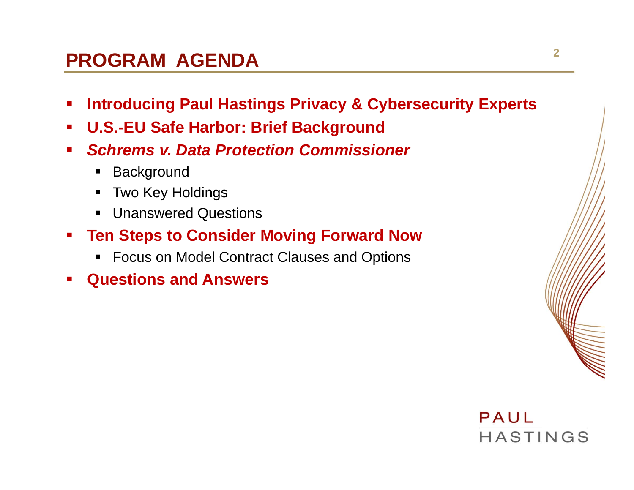### **PROGRAM AGENDA**

- **Introducing Paul Hastings Privacy & Cybersecurity Experts**
- $\mathcal{L}_{\mathcal{A}}$ **U.S.-EU Safe Harbor: Brief Background**
- *Schrems v. Data Protection Commissioner* 
	- $\blacksquare$ **Background**
	- $\blacksquare$ Two Key Holdings
	- Unanswered Questions
- $\mathcal{L}^{\mathcal{A}}$  **Ten Steps to Consider Moving Forward Now**
	- Focus on Model Contract Clauses and Options
- **Questions and Answers**

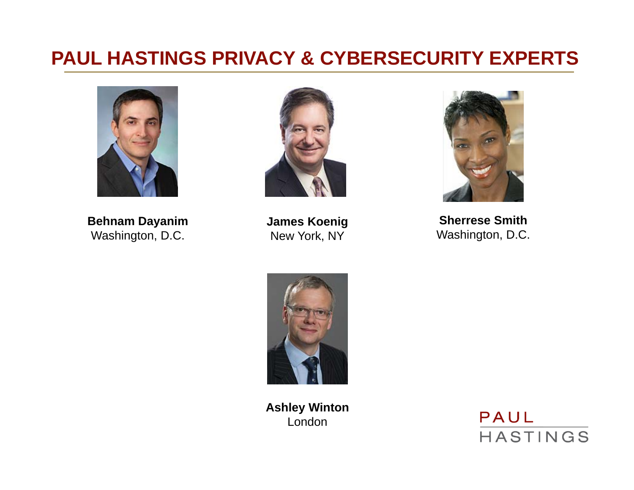## **3 PAUL HASTINGS PRIVACY & CYBERSECURITY EXPERTS**



**Behnam Dayanim** Washington, D.C.



**James Koenig** New York, NY



**Sherrese Smith**Washington, D.C.



**Ashley Winton** London

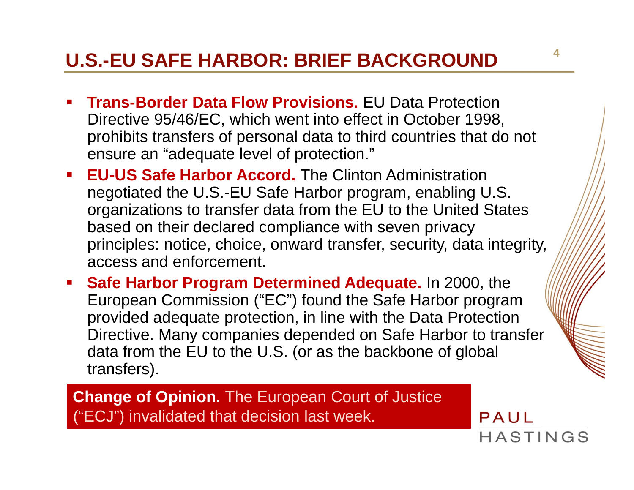## **U.S.-EU SAFE HARBOR: BRIEF BACKGROUND**

- **Trans-Border Data Flow Provisions.** EU Data Protection Directive 95/46/EC, which went into effect in October 1998, prohibits transfers of personal data to third countries that do not ensure an "adequate level of protection."
- **EU-US Safe Harbor Accord.** The Clinton Administration negotiated the U.S.-EU Safe Harbor program, enabling U.S. organizations to transfer data from the EU to the United States based on their declared compliance with seven privacy principles: notice, choice, onward transfer, security, data integrity, access and enforcement.
- **Safe Harbor Program Determined Adequate.** In 2000, the European Commission ("EC") found the Safe Harbor program provided adequate protection, in line with the Data Protection Directive. Many companies depended on Safe Harbor to transfer data from the EU to the U.S. (or as the backbone of global transfers).

**Change of Opinion.** The European Court of Justice ("ECJ") invalidated that decision last week.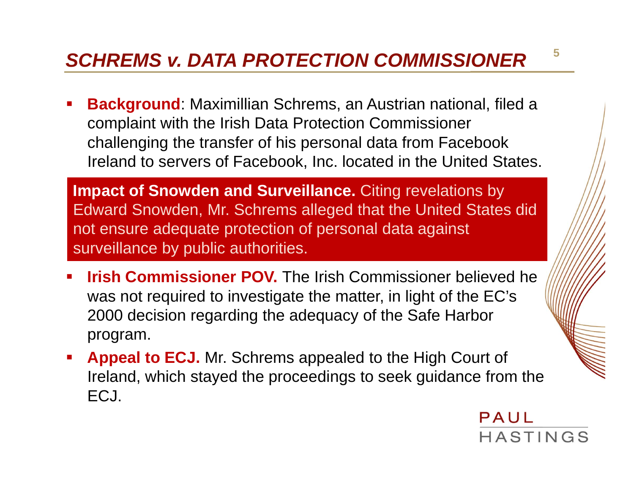## *SCHREMS v. DATA PROTECTION COMMISSIONER*

 **Background**: Maximillian Schrems, an Austrian national, filed a complaint with the Irish Data Protection Commissioner challenging the transfer of his personal data from Facebook Ireland to servers of Facebook, Inc. located in the United States.

**Impact of Snowden and Surveillance.** Citing revelations by Edward Snowden, Mr. Schrems alleged that the United States did not ensure adequate protection of personal data against surveillance by public authorities.

- **Irish Commissioner POV.** The Irish Commissioner believed he was not required to investigate the matter, in light of the EC's 2000 decision regarding the adequacy of the Safe Harbor program.
- **Appeal to ECJ.** Mr. Schrems appealed to the High Court of Ireland, which stayed the proceedings to seek guidance from the ECJ.



**5**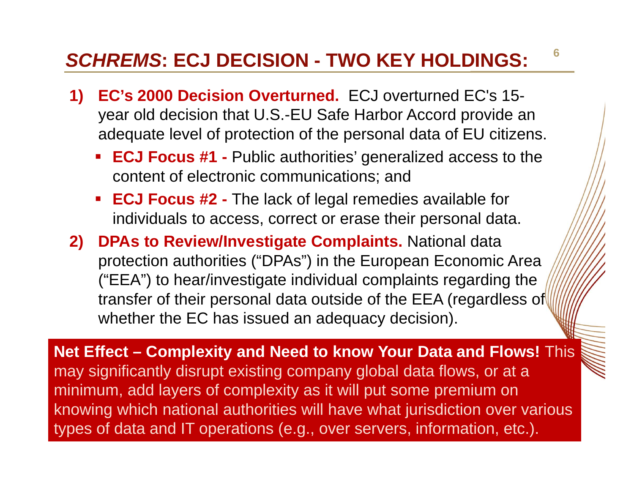## *SCHREMS***: ECJ DECISION - TWO KEY HOLDINGS:**

- **1) EC's 2000 Decision Overturned.** ECJ overturned EC's 15 year old decision that U.S.-EU Safe Harbor Accord provide an adequate level of protection of the personal data of EU citizens.
	- **ECJ Focus #1 -** Public authorities' generalized access to the content of electronic communications; and
	- **ECJ Focus #2 -** The lack of legal remedies available for individuals to access, correct or erase their personal data.
- **2) DPAs to Review/Investigate Complaints.** National data protection authorities ("DPAs") in the European Economic Area ("EEA") to hear/investigate individual complaints regarding the transfer of their personal data outside of the EEA (regardless of whether the EC has issued an adequacy decision).

**Net Effect – Complexity and Need to know Your Data and Flows!** This may significantly disrupt existing company global data flows, or at a minimum, add layers of complexity as it will put some premium on knowing which national authorities will have what jurisdiction over various types of data and IT operations (e.g., over servers, information, etc.).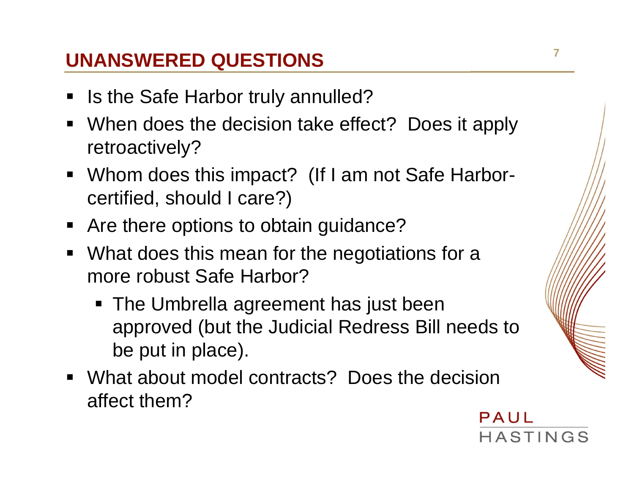# **UNANSWERED QUESTIONS**

- Is the Safe Harbor truly annulled?
- When does the decision take effect? Does it apply retroactively?
- Whom does this impact? (If I am not Safe Harborcertified, should I care?)
- **Are there options to obtain guidance?**
- **What does this mean for the negotiations for a** more robust Safe Harbor?
	- The Umbrella agreement has just been approved (but the Judicial Redress Bill needs to be put in place).
- What about model contracts? Does the decision affect them?

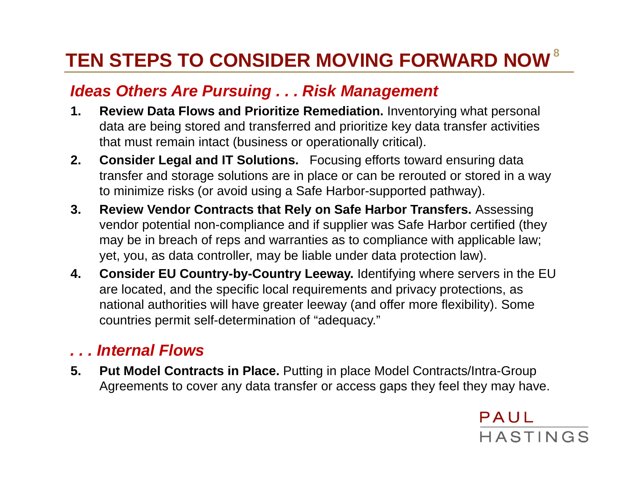# **8 TEN STEPS TO CONSIDER MOVING FORWARD NOW**

#### *Ideas Others Are Pursuing . . . Risk Management*

- **1. Review Data Flows and Prioritize Remediation.** Inventorying what personal data are being stored and transferred and prioritize key data transfer activities that must remain intact (business or operationally critical).
- **2. Consider Legal and IT Solutions.** Focusing efforts toward ensuring data transfer and storage solutions are in place or can be rerouted or stored in a way to minimize risks (or avoid using a Safe Harbor-supported pathway).
- **3. Review Vendor Contracts that Rely on Safe Harbor Transfers.** Assessing vendor potential non-compliance and if supplier was Safe Harbor certified (they may be in breach of reps and warranties as to compliance with applicable law; yet, you, as data controller, may be liable under data protection law).
- **4. Consider EU Country-by-Country Leeway.** Identifying where servers in the EU are located, and the specific local requirements and privacy protections, as national authorities will have greater leeway (and offer more flexibility). Some countries permit self-determination of "adequacy."

#### *. . . Internal Flows*

**5. Put Model Contracts in Place.** Putting in place Model Contracts/Intra-Group Agreements to cover any data transfer or access gaps they feel they may have.

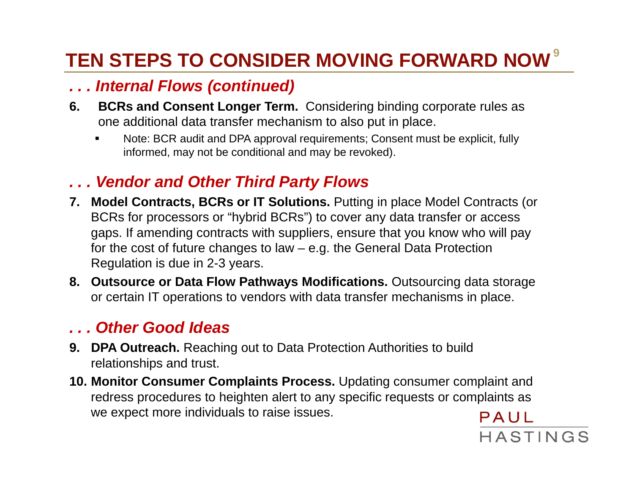# **9 TEN STEPS TO CONSIDER MOVING FORWARD NOW**

#### *. . . Internal Flows (continued)*

- **6. BCRs and Consent Longer Term.** Considering binding corporate rules as one additional data transfer mechanism to also put in place.
	- L Note: BCR audit and DPA approval requirements; Consent must be explicit, fully informed, may not be conditional and may be revoked).

#### *. . . Vendor and Other Third Party Flows*

- **7. Model Contracts, BCRs or IT Solutions.** Putting in place Model Contracts (or BCRs for processors or "hybrid BCRs") to cover any data transfer or access gaps. If amending contracts with suppliers, ensure that you know who will pay for the cost of future changes to law – e.g. the General Data Protection Regulation is due in 2-3 years.
- **8. Outsource or Data Flow Pathways Modifications.** Outsourcing data storage or certain IT operations to vendors with data transfer mechanisms in place.

#### *. . . Other Good Ideas*

- **9. DPA Outreach.** Reaching out to Data Protection Authorities to build relationships and trust.
- **10. Monitor Consumer Complaints Process.** Updating consumer complaint and redress procedures to heighten alert to any specific requests or complaints as we expect more individuals to raise issues. PAUL

HASTINGS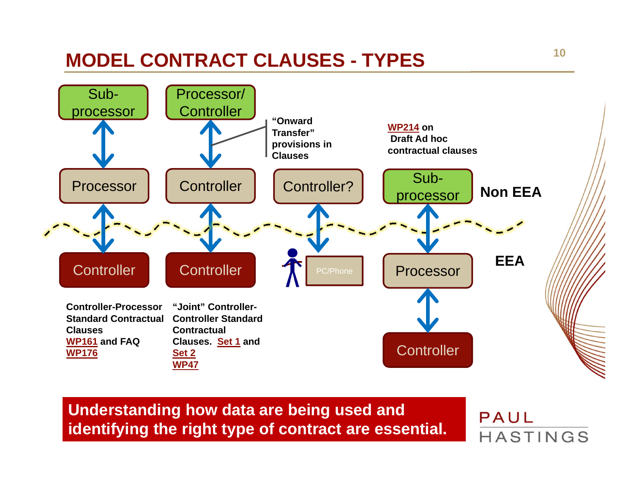# **MODEL CONTRACT CLAUSES - TYPES**



**Understanding how data are being used and identifying the right type of contract are essential.**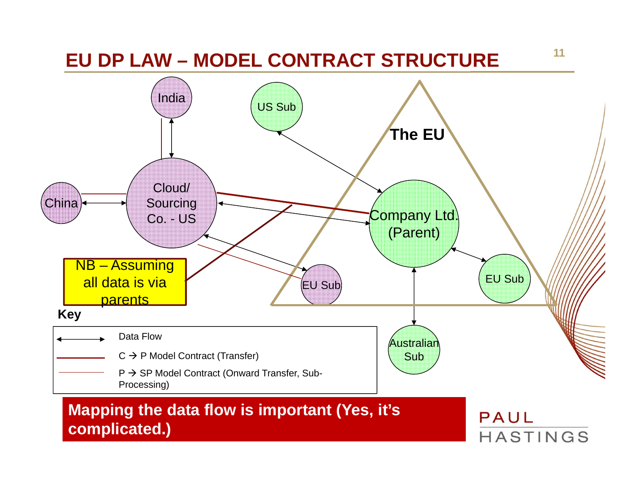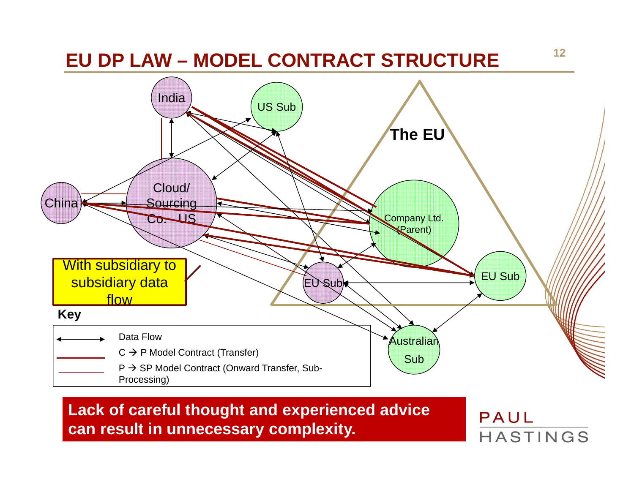

**Lack of careful thought and experienced advice can result in unnecessary complexity.**